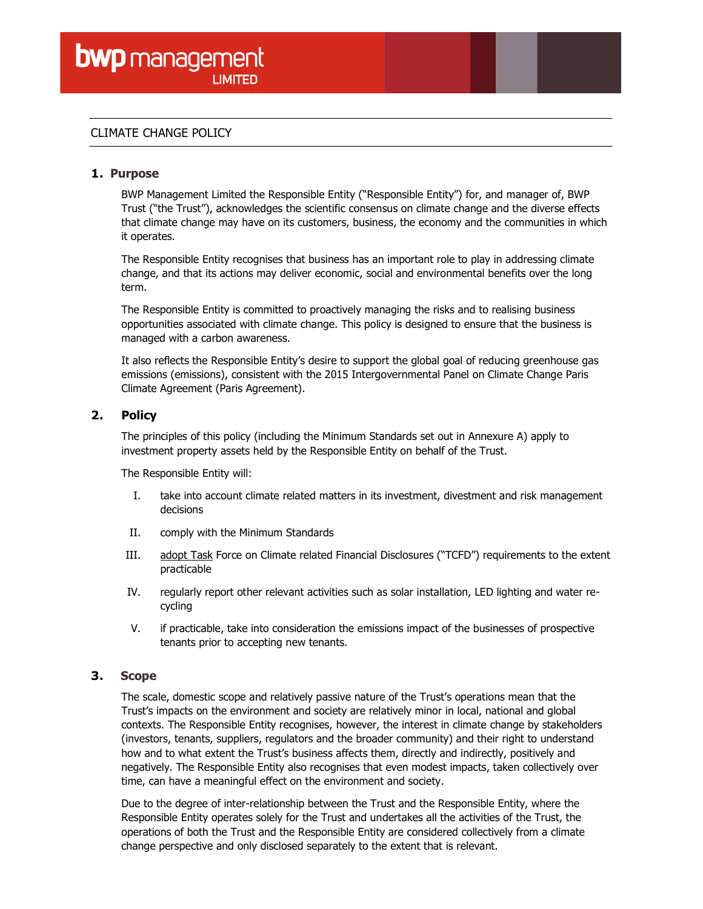# CLIMATE CHANGE POLICY

# 1. Purpose

BWP Management Limited the Responsible Entity ("Responsible Entity") for, and manager of, BWP Trust ("the Trust"), acknowledges the scientific consensus on climate change and the diverse effects that climate change may have on its customers, business, the economy and the communities in which it operates.

The Responsible Entity recognises that business has an important role to play in addressing climate change, and that its actions may deliver economic, social and environmental benefits over the long term.

The Responsible Entity is committed to proactively managing the risks and to realising business opportunities associated with climate change. This policy is designed to ensure that the business is managed with a carbon awareness.

It also reflects the Responsible Entity's desire to support the global goal of reducing greenhouse gas emissions (emissions), consistent with the 2015 Intergovernmental Panel on Climate Change Paris Climate Agreement (Paris Agreement).

# 2. Policy

The principles of this policy (including the Minimum Standards set out in Annexure A) apply to investment property assets held by the Responsible Entity on behalf of the Trust.

The Responsible Entity will:

- I. take into account climate related matters in its investment, divestment and risk management decisions
- II. comply with the Minimum Standards
- III. adopt Task Force on Climate related Financial Disclosures ("TCFD") requirements to the extent practicable
- IV. regularly report other relevant activities such as solar installation, LED lighting and water recycling
- V. if practicable, take into consideration the emissions impact of the businesses of prospective tenants prior to accepting new tenants.

## 3. Scope

The scale, domestic scope and relatively passive nature of the Trust's operations mean that the Trust's impacts on the environment and society are relatively minor in local, national and global contexts. The Responsible Entity recognises, however, the interest in climate change by stakeholders (investors, tenants, suppliers, regulators and the broader community) and their right to understand how and to what extent the Trust's business affects them, directly and indirectly, positively and negatively. The Responsible Entity also recognises that even modest impacts, taken collectively over time, can have a meaningful effect on the environment and society.

Due to the degree of inter-relationship between the Trust and the Responsible Entity, where the Responsible Entity operates solely for the Trust and undertakes all the activities of the Trust, the operations of both the Trust and the Responsible Entity are considered collectively from a climate change perspective and only disclosed separately to the extent that is relevant.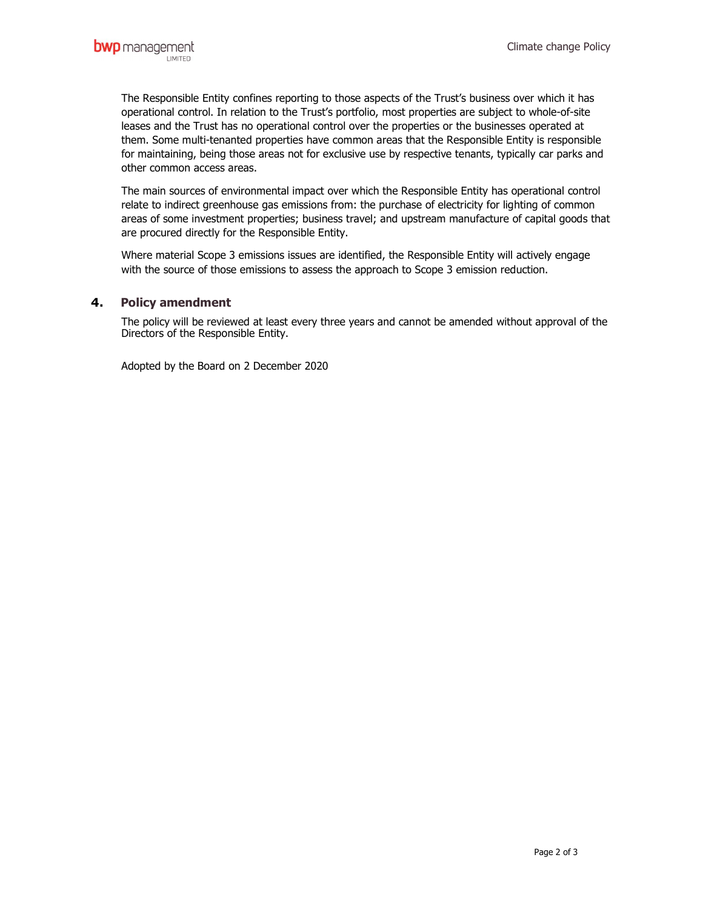The Responsible Entity confines reporting to those aspects of the Trust's business over which it has operational control. In relation to the Trust's portfolio, most properties are subject to whole-of-site leases and the Trust has no operational control over the properties or the businesses operated at them. Some multi-tenanted properties have common areas that the Responsible Entity is responsible for maintaining, being those areas not for exclusive use by respective tenants, typically car parks and other common access areas.

The main sources of environmental impact over which the Responsible Entity has operational control relate to indirect greenhouse gas emissions from: the purchase of electricity for lighting of common areas of some investment properties; business travel; and upstream manufacture of capital goods that are procured directly for the Responsible Entity.

Where material Scope 3 emissions issues are identified, the Responsible Entity will actively engage with the source of those emissions to assess the approach to Scope 3 emission reduction.

# 4. Policy amendment

The policy will be reviewed at least every three years and cannot be amended without approval of the Directors of the Responsible Entity.

Adopted by the Board on 2 December 2020